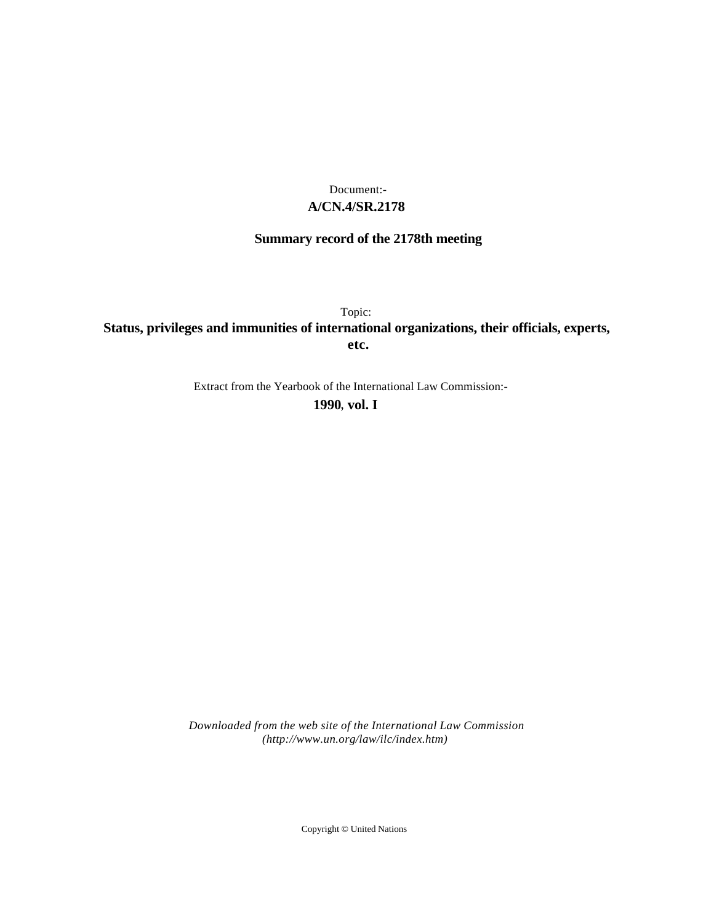## **A/CN.4/SR.2178** Document:-

# **Summary record of the 2178th meeting**

Topic: **Status, privileges and immunities of international organizations, their officials, experts, etc.**

Extract from the Yearbook of the International Law Commission:-

**1990** , **vol. I**

*Downloaded from the web site of the International Law Commission (http://www.un.org/law/ilc/index.htm)*

Copyright © United Nations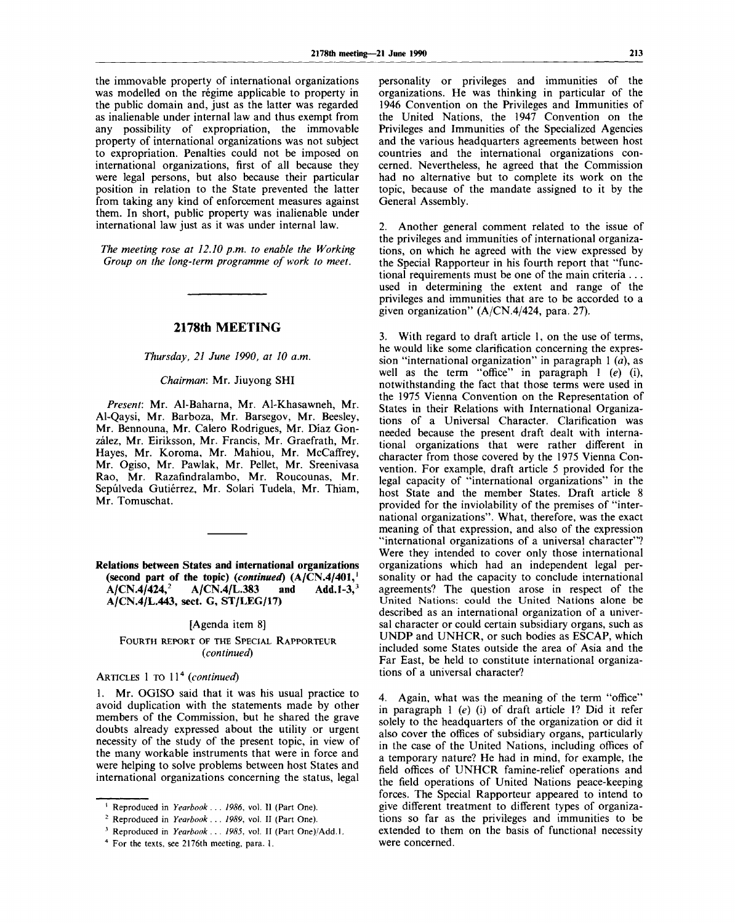the immovable property of international organizations was modelled on the régime applicable to property in the public domain and, just as the latter was regarded as inalienable under internal law and thus exempt from any possibility of expropriation, the immovable property of international organizations was not subject to expropriation. Penalties could not be imposed on international organizations, first of all because they were legal persons, but also because their particular position in relation to the State prevented the latter from taking any kind of enforcement measures against them. In short, public property was inalienable under international law just as it was under internal law.

*The meeting rose at 12.10 p.m. to enable the Working Group on the long-term programme of work to meet.*

### **2178th MEETING**

#### *Thursday, 21 June 1990, at 10 a.m.*

#### *Chairman:* Mr. Jiuyong SHI

*Present:* Mr. Al-Baharna, Mr. Al-Khasawneh, Mr. Al-Qaysi, Mr. Barboza, Mr. Barsegov, Mr. Beesley, Mr. Bennouna, Mr. Calero Rodrigues, Mr. Diaz Gonzalez, Mr. Eiriksson, Mr. Francis, Mr. Graefrath, Mr. Hayes, Mr. Koroma, Mr. Mahiou, Mr. McCaffrey, Mr. Ogiso, Mr. Pawlak, Mr. Pellet, Mr. Sreenivasa Rao, Mr. Razafindralambo, Mr. Roucounas, Mr. Sepúlveda Gutiérrez, Mr. Solari Tudela, Mr. Thiam, Mr. Tomuschat.

**Relations between States and international organizations (second part of the topic)** *(continued)* **(A/CN.4/401,<sup>1</sup> A/CN.4/424,<sup>2</sup> A/CN.4/L.383** and **A/CN.4/L.443, sect. G, ST/LEG/17)**

#### [Agenda item 8]

#### FOURTH REPORT OF THE SPECIAL RAPPORTEUR *(continued)*

## ARTICLES 1 TO 11<sup>4</sup> (continue

1. Mr. OGISO said that it was his usual practice to avoid duplication with the statements made by other members of the Commission, but he shared the grave doubts already expressed about the utility or urgent necessity of the study of the present topic, in view of the many workable instruments that were in force and were helping to solve problems between host States and international organizations concerning the status, legal

personality or privileges and immunities of the organizations. He was thinking in particular of the 1946 Convention on the Privileges and Immunities of the United Nations, the 1947 Convention on the Privileges and Immunities of the Specialized Agencies and the various headquarters agreements between host countries and the international organizations concerned. Nevertheless, he agreed that the Commission had no alternative but to complete its work on the topic, because of the mandate assigned to it by the General Assembly.

2. Another general comment related to the issue of the privileges and immunities of international organizations, on which he agreed with the view expressed by the Special Rapporteur in his fourth report that "functional requirements must be one of the main criteria . . . used in determining the extent and range of the privileges and immunities that are to be accorded to a given organization" (A/CN.4/424, para. 27).

3. With regard to draft article 1, on the use of terms, he would like some clarification concerning the expression "international organization" in paragraph 1 *(a),* as well as the term "office" in paragraph 1 *(e)* (i), notwithstanding the fact that those terms were used in the 1975 Vienna Convention on the Representation of States in their Relations with International Organizations of a Universal Character. Clarification was needed because the present draft dealt with international organizations that were rather different in character from those covered by the 1975 Vienna Convention. For example, draft article 5 provided for the legal capacity of "international organizations" in the host State and the member States. Draft article 8 provided for the inviolability of the premises of "international organizations". What, therefore, was the exact meaning of that expression, and also of the expression "international organizations of a universal character"? Were they intended to cover only those international organizations which had an independent legal personality or had the capacity to conclude international agreements? The question arose in respect of the United Nations: could the United Nations alone be described as an international organization of a universal character or could certain subsidiary organs, such as UNDP and UNHCR, or such bodies as ESCAP, which included some States outside the area of Asia and the Far East, be held to constitute international organizations of a universal character?

4. Again, what was the meaning of the term "office" in paragraph 1 *(e)* (i) of draft article 1? Did it refer solely to the headquarters of the organization or did it also cover the offices of subsidiary organs, particularly in the case of the United Nations, including offices of a temporary nature? He had in mind, for example, the field offices of UNHCR famine-relief operations and the field operations of United Nations peace-keeping forces. The Special Rapporteur appeared to intend to give different treatment to different types of organizations so far as the privileges and immunities to be extended to them on the basis of functional necessity were concerned.

<sup>1</sup> Reproduced in *Yearbook . . . 1986,* vol. II (Part One).

<sup>2</sup> Reproduced in *Yearbook . . . 1989,* vol. II (Part One).

<sup>3</sup> Reproduced in *Yearbook . . . 1985,* vol. II (Part One)/Add.I.

<sup>4</sup> For the texts, see 2176th meeting, para. 1.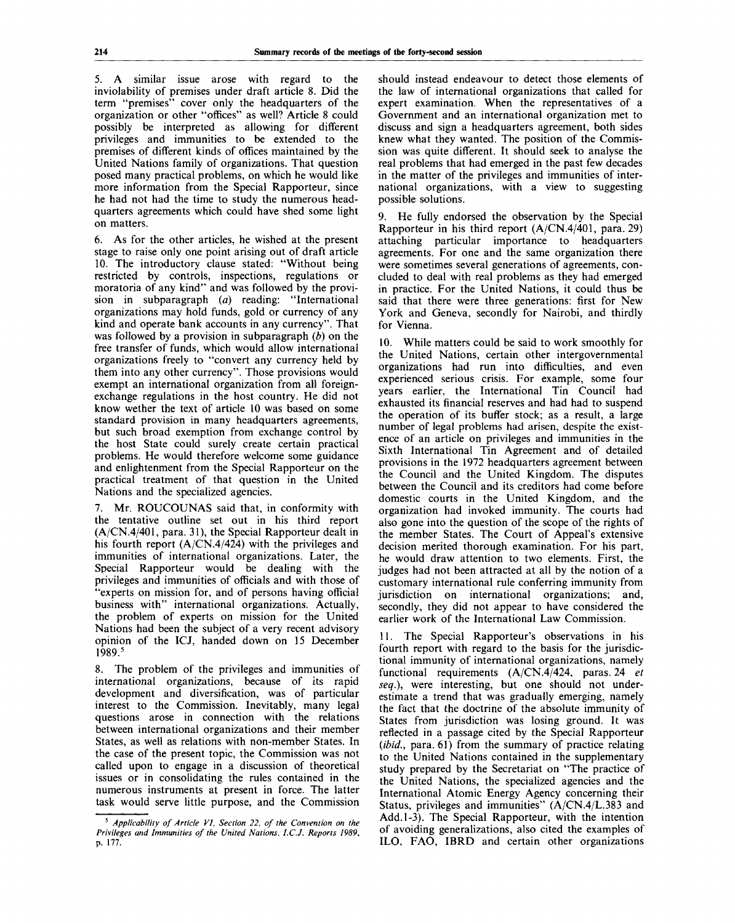5. A similar issue arose with regard to the inviolability of premises under draft article 8. Did the term "premises" cover only the headquarters of the organization or other "offices" as well? Article 8 could possibly be interpreted as allowing for different privileges and immunities to be extended to the premises of different kinds of offices maintained by the United Nations family of organizations. That question posed many practical problems, on which he would like more information from the Special Rapporteur, since he had not had the time to study the numerous headquarters agreements which could have shed some light on matters.

6. As for the other articles, he wished at the present stage to raise only one point arising out of draft article 10. The introductory clause stated: "Without being restricted by controls, inspections, regulations or moratoria of any kind" and was followed by the provision in subparagraph *(a)* reading: "International organizations may hold funds, gold or currency of any kind and operate bank accounts in any currency". That was followed by a provision in subparagraph *(b)* on the free transfer of funds, which would allow international organizations freely to "convert any currency held by them into any other currency". Those provisions would exempt an international organization from all foreignexchange regulations in the host country. He did not know wether the text of article 10 was based on some standard provision in many headquarters agreements, but such broad exemption from exchange control by the host State could surely create certain practical problems. He would therefore welcome some guidance and enlightenment from the Special Rapporteur on the practical treatment of that question in the United Nations and the specialized agencies.

7. Mr. ROUCOUNAS said that, in conformity with the tentative outline set out in his third report (A/CN.4/401, para. 31), the Special Rapporteur dealt in his fourth report (A/CN.4/424) with the privileges and immunities of international organizations. Later, the Special Rapporteur would be dealing with the privileges and immunities of officials and with those of "experts on mission for, and of persons having official business with" international organizations. Actually, the problem of experts on mission for the United Nations had been the subject of a very recent advisory opinion of the ICJ, handed down on 15 December 1989.<sup>5</sup>

8. The problem of the privileges and immunities of international organizations, because of its rapid development and diversification, was of particular interest to the Commission. Inevitably, many legal questions arose in connection with the relations between international organizations and their member States, as well as relations with non-member States. In the case of the present topic, the Commission was not called upon to engage in a discussion of theoretical issues or in consolidating the rules contained in the numerous instruments at present in force. The latter task would serve little purpose, and the Commission

should instead endeavour to detect those elements of the law of international organizations that called for expert examination. When the representatives of a Government and an international organization met to discuss and sign a headquarters agreement, both sides knew what they wanted. The position of the Commission was quite different. It should seek to analyse the real problems that had emerged in the past few decades in the matter of the privileges and immunities of international organizations, with a view to suggesting possible solutions.

9. He fully endorsed the observation by the Special Rapporteur in his third report (A/CN.4/401, para. 29) attaching particular importance to headquarters agreements. For one and the same organization there were sometimes several generations of agreements, concluded to deal with real problems as they had emerged in practice. For the United Nations, it could thus be said that there were three generations: first for New York and Geneva, secondly for Nairobi, and thirdly for Vienna.

10. While matters could be said to work smoothly for the United Nations, certain other intergovernmental organizations had run into difficulties, and even experienced serious crisis. For example, some four years earlier, the International Tin Council had exhausted its financial reserves and had had to suspend the operation of its buffer stock; as a result, a large number of legal problems had arisen, despite the existence of an article on privileges and immunities in the Sixth International Tin Agreement and of detailed provisions in the 1972 headquarters agreement between the Council and the United Kingdom. The disputes between the Council and its creditors had come before domestic courts in the United Kingdom, and the organization had invoked immunity. The courts had also gone into the question of the scope of the rights of the member States. The Court of Appeal's extensive decision merited thorough examination. For his part, he would draw attention to two elements. First, the judges had not been attracted at all by the notion of a customary international rule conferring immunity from jurisdiction on international organizations; and, secondly, they did not appear to have considered the earlier work of the International Law Commission.

11. The Special Rapporteur's observations in his fourth report with regard to the basis for the jurisdictional immunity of international organizations, namely functional requirements (A/CN.4/424, paras. 24 *et seq.),* were interesting, but one should not underestimate a trend that was gradually emerging, namely the fact that the doctrine of the absolute immunity of States from jurisdiction was losing ground. It was reflected in a passage cited by the Special Rapporteur *{ibid.,* para. 61) from the summary of practice relating to the United Nations contained in the supplementary study prepared by the Secretariat on "The practice of the United Nations, the specialized agencies and the International Atomic Energy Agency concerning their Status, privileges and immunities" (A/CN.4/L.383 and Add. 1-3). The Special Rapporteur, with the intention of avoiding generalizations, also cited the examples of ILO, FAO, IBRD and certain other organizations

<sup>5</sup>  *Applicability of Article VI, Section 22, of the Convention on the Privileges and Immunities of the United Nations, I.C.J. Reports 1989,* **p.** 177.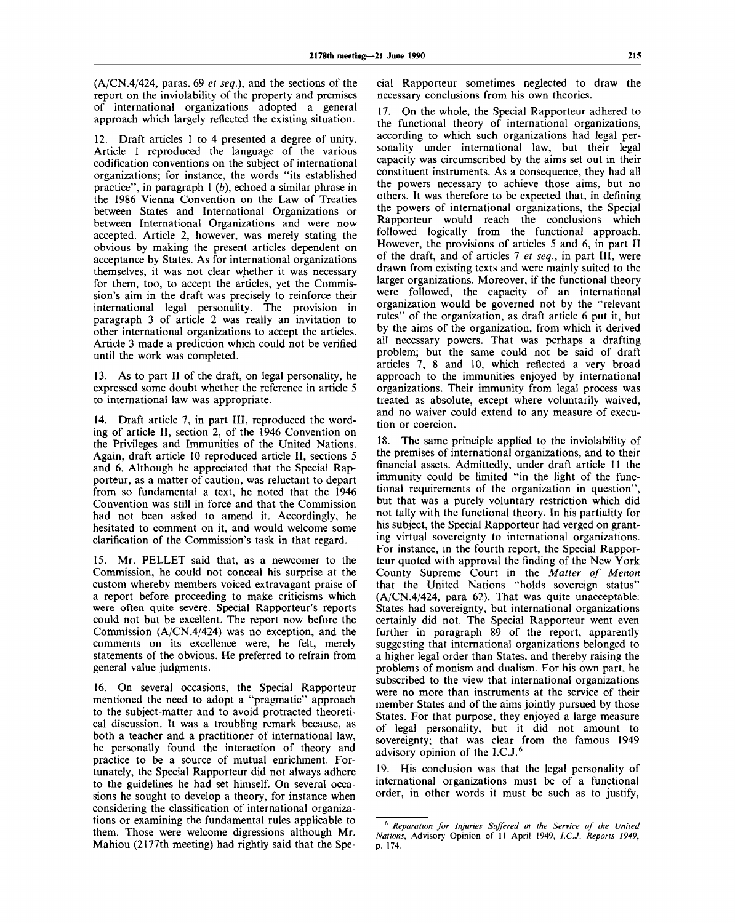(A/CN.4/424, paras. 69 *et seq.),* and the sections of the report on the inviolability of the property and premises of international organizations adopted a general approach which largely reflected the existing situation.

12. Draft articles 1 to 4 presented a degree of unity. Article 1 reproduced the language of the various codification conventions on the subject of international organizations; for instance, the words "its established practice", in paragraph  $1(b)$ , echoed a similar phrase in the 1986 Vienna Convention on the Law of Treaties between States and International Organizations or between International Organizations and were now accepted. Article 2, however, was merely stating the obvious by making the present articles dependent on acceptance by States. As for international organizations themselves, it was not clear whether it was necessary for them, too, to accept the articles, yet the Commission's aim in the draft was precisely to reinforce their international legal personality. The provision in paragraph 3 of article 2 was really an invitation to other international organizations to accept the articles. Article 3 made a prediction which could not be verified until the work was completed.

13. As to part II of the draft, on legal personality, he expressed some doubt whether the reference in article 5 to international law was appropriate.

14. Draft article 7, in part III, reproduced the wording of article II, section 2, of the 1946 Convention on the Privileges and Immunities of the United Nations. Again, draft article 10 reproduced article II, sections 5 and 6. Although he appreciated that the Special Rapporteur, as a matter of caution, was reluctant to depart from so fundamental a text, he noted that the 1946 Convention was still in force and that the Commission had not been asked to amend it. Accordingly, he hesitated to comment on it, and would welcome some clarification of the Commission's task in that regard.

15. Mr. PELLET said that, as a newcomer to the Commission, he could not conceal his surprise at the custom whereby members voiced extravagant praise of a report before proceeding to make criticisms which were often quite severe. Special Rapporteur's reports could not but be excellent. The report now before the Commission (A/CN.4/424) was no exception, and the comments on its excellence were, he felt, merely statements of the obvious. He preferred to refrain from general value judgments.

16. On several occasions, the Special Rapporteur mentioned the need to adopt a "pragmatic" approach to the subject-matter and to avoid protracted theoretical discussion. It was a troubling remark because, as both a teacher and a practitioner of international law, he personally found the interaction of theory and practice to be a source of mutual enrichment. Fortunately, the Special Rapporteur did not always adhere to the guidelines he had set himself. On several occasions he sought to develop a theory, for instance when considering the classification of international organizations or examining the fundamental rules applicable to them. Those were welcome digressions although Mr. Mahiou (2177th meeting) had rightly said that the Special Rapporteur sometimes neglected to draw the necessary conclusions from his own theories.

17. On the whole, the Special Rapporteur adhered to the functional theory of international organizations, according to which such organizations had legal personality under international law, but their legal capacity was circumscribed by the aims set out in their constituent instruments. As a consequence, they had all the powers necessary to achieve those aims, but no others. It was therefore to be expected that, in defining the powers of international organizations, the Special Rapporteur would reach the conclusions which followed logically from the functional approach. However, the provisions of articles 5 and 6, in part II of the draft, and of articles 7 *et seq.,* in part III, were drawn from existing texts and were mainly suited to the larger organizations. Moreover, if the functional theory were followed, the capacity of an international organization would be governed not by the "relevant rules" of the organization, as draft article 6 put it, but by the aims of the organization, from which it derived all necessary powers. That was perhaps a drafting problem; but the same could not be said of draft articles 7, 8 and 10, which reflected a very broad approach to the immunities enjoyed by international organizations. Their immunity from legal process was treated as absolute, except where voluntarily waived, and no waiver could extend to any measure of execution or coercion.

18. The same principle applied to the inviolability of the premises of international organizations, and to their financial assets. Admittedly, under draft article 11 the immunity could be limited "in the light of the functional requirements of the organization in question", but that was a purely voluntary restriction which did not tally with the functional theory. In his partiality for his subject, the Special Rapporteur had verged on granting virtual sovereignty to international organizations. For instance, in the fourth report, the Special Rapporteur quoted with approval the finding of the New York County Supreme Court in the *Matter of Menon* that the United Nations "holds sovereign status" (A/CN.4/424, para 62). That was quite unacceptable: States had sovereignty, but international organizations certainly did not. The Special Rapporteur went even further in paragraph 89 of the report, apparently suggesting that international organizations belonged to a higher legal order than States, and thereby raising the problems of monism and dualism. For his own part, he subscribed to the view that international organizations were no more than instruments at the service of their member States and of the aims jointly pursued by those States. For that purpose, they enjoyed a large measure of legal personality, but it did not amount to sovereignty; that was clear from the famous 1949 advisory opinion of the I.C.J.<sup>6</sup>

19. His conclusion was that the legal personality of international organizations must be of a functional order, in other words it must be such as to justify,

<sup>6</sup>  *Reparation for Injuries Suffered in the Service of the United Nations,* Advisory Opinion of 11 April 1949, *I.C.J. Reports 1949,* p. 174.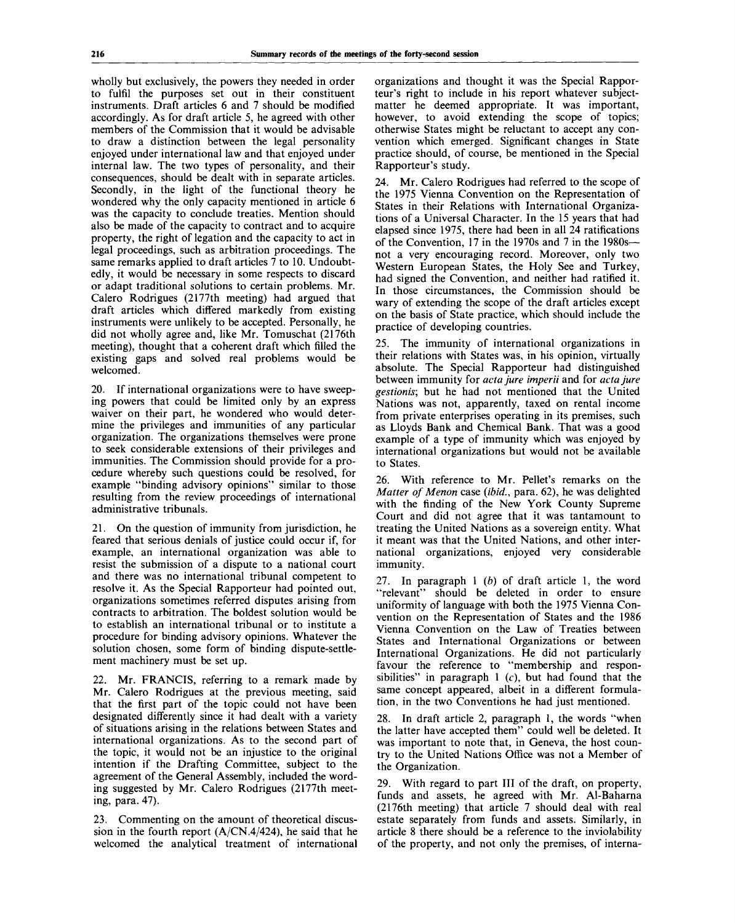wholly but exclusively, the powers they needed in order to fulfil the purposes set out in their constituent instruments. Draft articles 6 and 7 should be modified accordingly. As for draft article 5, he agreed with other members of the Commission that it would be advisable to draw a distinction between the legal personality enjoyed under international law and that enjoyed under internal law. The two types of personality, and their consequences, should be dealt with in separate articles. Secondly, in the light of the functional theory he wondered why the only capacity mentioned in article 6 was the capacity to conclude treaties. Mention should also be made of the capacity to contract and to acquire property, the right of legation and the capacity to act in legal proceedings, such as arbitration proceedings. The same remarks applied to draft articles 7 to 10. Undoubtedly, it would be necessary in some respects to discard or adapt traditional solutions to certain problems. Mr. Calero Rodrigues (2177th meeting) had argued that draft articles which differed markedly from existing instruments were unlikely to be accepted. Personally, he did not wholly agree and, like Mr. Tomuschat (2176th meeting), thought that a coherent draft which filled the existing gaps and solved real problems would be welcomed.

20. If international organizations were to have sweeping powers that could be limited only by an express waiver on their part, he wondered who would determine the privileges and immunities of any particular organization. The organizations themselves were prone to seek considerable extensions of their privileges and immunities. The Commission should provide for a procedure whereby such questions could be resolved, for example "binding advisory opinions" similar to those resulting from the review proceedings of international administrative tribunals.

21. On the question of immunity from jurisdiction, he feared that serious denials of justice could occur if, for example, an international organization was able to resist the submission of a dispute to a national court and there was no international tribunal competent to resolve it. As the Special Rapporteur had pointed out, organizations sometimes referred disputes arising from contracts to arbitration. The boldest solution would be to establish an international tribunal or to institute a procedure for binding advisory opinions. Whatever the solution chosen, some form of binding dispute-settlement machinery must be set up.

22. Mr. FRANCIS, referring to a remark made by Mr. Calero Rodrigues at the previous meeting, said that the first part of the topic could not have been designated differently since it had dealt with a variety of situations arising in the relations between States and international organizations. As to the second part of the topic, it would not be an injustice to the original intention if the Drafting Committee, subject to the agreement of the General Assembly, included the wording suggested by Mr. Calero Rodrigues (2177th meeting, para. 47).

23. Commenting on the amount of theoretical discussion in the fourth report  $(A/CN.4/424)$ , he said that he welcomed the analytical treatment of international organizations and thought it was the Special Rapporteur's right to include in his report whatever subjectmatter he deemed appropriate. It was important, however, to avoid extending the scope of topics; otherwise States might be reluctant to accept any convention which emerged. Significant changes in State practice should, of course, be mentioned in the Special Rapporteur's study.

24. Mr. Calero Rodrigues had referred to the scope of the 1975 Vienna Convention on the Representation of States in their Relations with International Organizations of a Universal Character. In the 15 years that had elapsed since 1975, there had been in all 24 ratifications of the Convention, 17 in the 1970s and 7 in the 1980s not a very encouraging record. Moreover, only two Western European States, the Holy See and Turkey, had signed the Convention, and neither had ratified it. In those circumstances, the Commission should be wary of extending the scope of the draft articles except on the basis of State practice, which should include the practice of developing countries.

25. The immunity of international organizations in their relations with States was, in his opinion, virtually absolute. The Special Rapporteur had distinguished between immunity for *acta jure imperii* and for *acta jure gestionis;* but he had not mentioned that the United Nations was not, apparently, taxed on rental income from private enterprises operating in its premises, such as Lloyds Bank and Chemical Bank. That was a good example of a type of immunity which was enjoyed by international organizations but would not be available to States.

26. With reference to Mr. Pellet's remarks on the *Matter of Menon* case *(ibid.,* para. 62), he was delighted with the finding of the New York County Supreme Court and did not agree that it was tantamount to treating the United Nations as a sovereign entity. What it meant was that the United Nations, and other international organizations, enjoyed very considerable immunity.

27. In paragraph 1 *(b)* of draft article 1, the word "relevant" should be deleted in order to ensure uniformity of language with both the 1975 Vienna Convention on the Representation of States and the 1986 Vienna Convention on the Law of Treaties between States and International Organizations or between International Organizations. He did not particularly favour the reference to "membership and responsibilities" in paragraph  $1$  (c), but had found that the same concept appeared, albeit in a different formulation, in the two Conventions he had just mentioned.

28. In draft article 2, paragraph 1, the words "when the latter have accepted them" could well be deleted. It was important to note that, in Geneva, the host country to the United Nations Office was not a Member of the Organization.

29. With regard to part III of the draft, on property, funds and assets, he agreed with Mr. Al-Baharna (2176th meeting) that article 7 should deal with real estate separately from funds and assets. Similarly, in article 8 there should be a reference to the inviolability of the property, and not only the premises, of interna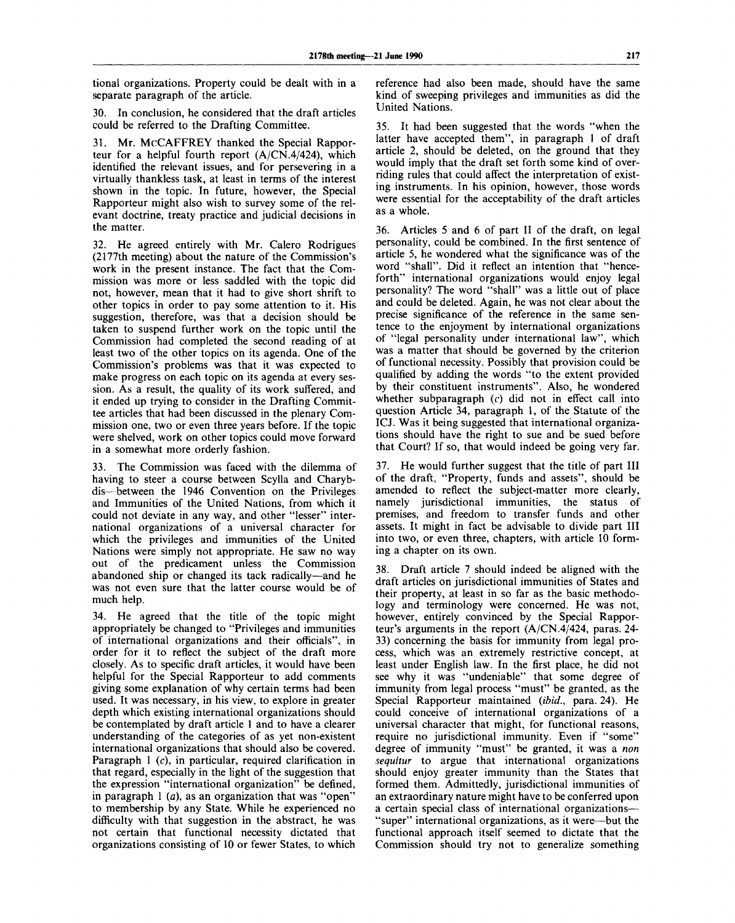tional organizations. Property could be dealt with in a separate paragraph of the article.

30. In conclusion, he considered that the draft articles could be referred to the Drafting Committee.

31. Mr. MCCAFFREY thanked the Special Rapporteur for a helpful fourth report (A/CN.4/424), which identified the relevant issues, and for persevering in a virtually thankless task, at least in terms of the interest shown in the topic. In future, however, the Special Rapporteur might also wish to survey some of the relevant doctrine, treaty practice and judicial decisions in the matter.

32. He agreed entirely with Mr. Calero Rodrigues (2177th meeting) about the nature of the Commission's work in the present instance. The fact that the Commission was more or less saddled with the topic did not, however, mean that it had to give short shrift to other topics in order to pay some attention to it. His suggestion, therefore, was that a decision should be taken to suspend further work on the topic until the Commission had completed the second reading of at least two of the other topics on its agenda. One of the Commission's problems was that it was expected to make progress on each topic on its agenda at every session. As a result, the quality of its work suffered, and it ended up trying to consider in the Drafting Committee articles that had been discussed in the plenary Commission one, two or even three years before. If the topic were shelved, work on other topics could move forward in a somewhat more orderly fashion.

33. The Commission was faced with the dilemma of having to steer a course between Scylla and Charybdis—between the 1946 Convention on the Privileges and Immunities of the United Nations, from which it could not deviate in any way, and other "lesser" international organizations of a universal character for which the privileges and immunities of the United Nations were simply not appropriate. He saw no way out of the predicament unless the Commission abandoned ship or changed its tack radically—and he was not even sure that the latter course would be of much help.

34. He agreed that the title of the topic might appropriately be changed to "Privileges and immunities of international organizations and their officials", in order for it to reflect the subject of the draft more closely. As to specific draft articles, it would have been helpful for the Special Rapporteur to add comments giving some explanation of why certain terms had been used. It was necessary, in his view, to explore in greater depth which existing international organizations should be contemplated by draft article 1 and to have a clearer understanding of the categories of as yet non-existent international organizations that should also be covered. Paragraph 1 (c), in particular, required clarification in that regard, especially in the light of the suggestion that the expression "international organization" be defined, in paragraph 1 *(a),* as an organization that was "open" to membership by any State. While he experienced no difficulty with that suggestion in the abstract, he was not certain that functional necessity dictated that organizations consisting of 10 or fewer States, to which

reference had also been made, should have the same kind of sweeping privileges and immunities as did the United Nations.

35. It had been suggested that the words "when the latter have accepted them", in paragraph 1 of draft article 2, should be deleted, on the ground that they would imply that the draft set forth some kind of overriding rules that could affect the interpretation of existing instruments. In his opinion, however, those words were essential for the acceptability of the draft articles as a whole.

36. Articles 5 and 6 of part II of the draft, on legal personality, could be combined. In the first sentence of article 5, he wondered what the significance was of the word "shall". Did it reflect an intention that "henceforth" international organizations would enjoy legal personality? The word "shall" was a little out of place and could be deleted. Again, he was not clear about the precise significance of the reference in the same sentence to the enjoyment by international organizations of "legal personality under international law", which was a matter that should be governed by the criterion of functional necessity. Possibly that provision could be qualified by adding the words "to the extent provided by their constituent instruments". Also, he wondered whether subparagraph *(c)* did not in effect call into question Article 34, paragraph 1, of the Statute of the ICJ. Was it being suggested that international organizations should have the right to sue and be sued before that Court? If so, that would indeed be going very far.

37. He would further suggest that the title of part III of the draft, "Property, funds and assets", should be amended to reflect the subject-matter more clearly, namely jurisdictional immunities, the status of premises, and freedom to transfer funds and other assets. It might in fact be advisable to divide part III into two, or even three, chapters, with article 10 forming a chapter on its own.

38. Draft article 7 should indeed be aligned with the draft articles on jurisdictional immunities of States and their property, at least in so far as the basic methodology and terminology were concerned. He was not, however, entirely convinced by the Special Rapporteur's arguments in the report (A/CN.4/424, paras. 24- 33) concerning the basis for immunity from legal process, which was an extremely restrictive concept, at least under English law. In the first place, he did not see why it was "undeniable" that some degree of immunity from legal process "must" be granted, as the Special Rapporteur maintained *(ibid.,* para. 24). He could conceive of international organizations of a universal character that might, for functional reasons, require no jurisdictional immunity. Even if "some" degree of immunity "must" be granted, it was a *non sequitur* to argue that international organizations should enjoy greater immunity than the States that formed them. Admittedly, jurisdictional immunities of an extraordinary nature might have to be conferred upon a certain special class of international organizations— "super" international organizations, as it were—but the functional approach itself seemed to dictate that the Commission should try not to generalize something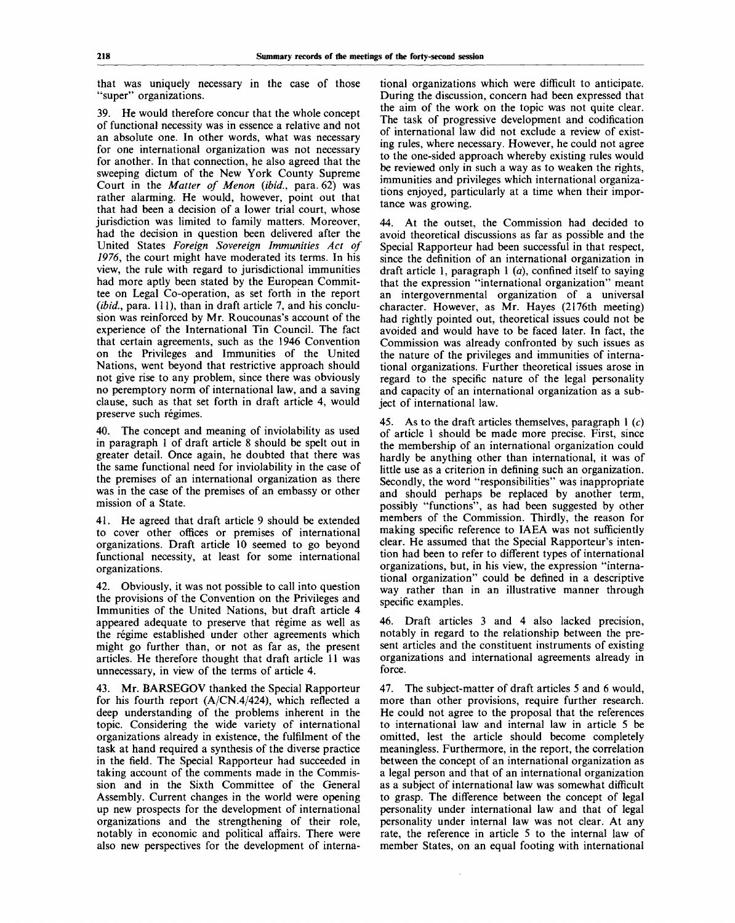that was uniquely necessary in the case of those "super" organizations.

39. He would therefore concur that the whole concept of functional necessity was in essence a relative and not an absolute one. In other words, what was necessary for one international organization was not necessary for another. In that connection, he also agreed that the sweeping dictum of the New York County Supreme Court in the *Matter of Menon {ibid.,* para. 62) was rather alarming. He would, however, point out that that had been a decision of a lower trial court, whose jurisdiction was limited to family matters. Moreover, had the decision in question been delivered after the United States *Foreign Sovereign Immunities Act of 1976,* the court might have moderated its terms. In his view, the rule with regard to jurisdictional immunities had more aptly been stated by the European Committee on Legal Co-operation, as set forth in the report *(ibid., para.* 111), than in draft article 7, and his conclusion was reinforced by Mr. Roucounas's account of the experience of the International Tin Council. The fact that certain agreements, such as the 1946 Convention on the Privileges and Immunities of the United Nations, went beyond that restrictive approach should not give rise to any problem, since there was obviously no peremptory norm of international law, and a saving clause, such as that set forth in draft article 4, would preserve such regimes.

40. The concept and meaning of inviolability as used in paragraph 1 of draft article 8 should be spelt out in greater detail. Once again, he doubted that there was the same functional need for inviolability in the case of the premises of an international organization as there was in the case of the premises of an embassy or other mission of a State.

41. He agreed that draft article 9 should be extended to cover other offices or premises of international organizations. Draft article 10 seemed to go beyond functional necessity, at least for some international organizations.

42. Obviously, it was not possible to call into question the provisions of the Convention on the Privileges and Immunities of the United Nations, but draft article 4 appeared adequate to preserve that régime as well as the régime established under other agreements which might go further than, or not as far as, the present articles. He therefore thought that draft article 11 was unnecessary, in view of the terms of article 4.

43. Mr. BARSEGOV thanked the Special Rapporteur for his fourth report  $(A/CN.4/424)$ , which reflected a deep understanding of the problems inherent in the topic. Considering the wide variety of international organizations already in existence, the fulfilment of the task at hand required a synthesis of the diverse practice in the field. The Special Rapporteur had succeeded in taking account of the comments made in the Commission and in the Sixth Committee of the General Assembly. Current changes in the world were opening up new prospects for the development of international organizations and the strengthening of their role, notably in economic and political affairs. There were also new perspectives for the development of international organizations which were difficult to anticipate. During the discussion, concern had been expressed that the aim of the work on the topic was not quite clear. The task of progressive development and codification of international law did not exclude a review of existing rules, where necessary. However, he could not agree to the one-sided approach whereby existing rules would be reviewed only in such a way as to weaken the rights, immunities and privileges which international organizations enjoyed, particularly at a time when their importance was growing.

44. At the outset, the Commission had decided to avoid theoretical discussions as far as possible and the Special Rapporteur had been successful in that respect, since the definition of an international organization in draft article 1, paragraph 1 *(a),* confined itself to saying that the expression "international organization" meant an intergovernmental organization of a universal character. However, as Mr. Hayes (2176th meeting) had rightly pointed out, theoretical issues could not be avoided and would have to be faced later. In fact, the Commission was already confronted by such issues as the nature of the privileges and immunities of international organizations. Further theoretical issues arose in regard to the specific nature of the legal personality and capacity of an international organization as a subject of international law.

45. As to the draft articles themselves, paragraph 1 *(c)* of article 1 should be made more precise. First, since the membership of an international organization could hardly be anything other than international, it was of little use as a criterion in defining such an organization. Secondly, the word "responsibilities" was inappropriate and should perhaps be replaced by another term, possibly "functions", as had been suggested by other members of the Commission. Thirdly, the reason for making specific reference to IAEA was not sufficiently clear. He assumed that the Special Rapporteur's intention had been to refer to different types of international organizations, but, in his view, the expression "international organization" could be defined in a descriptive way rather than in an illustrative manner through specific examples.

46. Draft articles 3 and 4 also lacked precision, notably in regard to the relationship between the present articles and the constituent instruments of existing organizations and international agreements already in force.

47. The subject-matter of draft articles 5 and 6 would, more than other provisions, require further research. He could not agree to the proposal that the references to international law and internal law in article 5 be omitted, lest the article should become completely meaningless. Furthermore, in the report, the correlation between the concept of an international organization as a legal person and that of an international organization as a subject of international law was somewhat difficult to grasp. The difference between the concept of legal personality under international law and that of legal personality under internal law was not clear. At any rate, the reference in article 5 to the internal law of member States, on an equal footing with international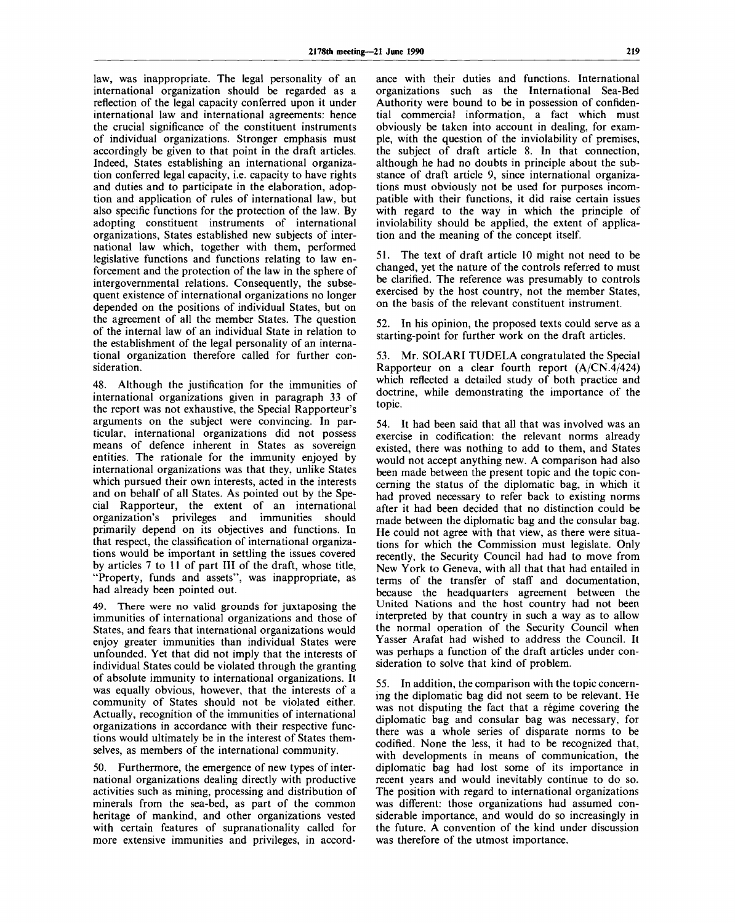law, was inappropriate. The legal personality of an international organization should be regarded as a reflection of the legal capacity conferred upon it under international law and international agreements: hence the crucial significance of the constituent instruments of individual organizations. Stronger emphasis must accordingly be given to that point in the draft articles. Indeed, States establishing an international organization conferred legal capacity, i.e. capacity to have rights and duties and to participate in the elaboration, adoption and application of rules of international law, but also specific functions for the protection of the law. By adopting constituent instruments of international organizations, States established new subjects of international law which, together with them, performed legislative functions and functions relating to law enforcement and the protection of the law in the sphere of intergovernmental relations. Consequently, the subsequent existence of international organizations no longer depended on the positions of individual States, but on the agreement of all the member States. The question of the internal law of an individual State in relation to the establishment of the legal personality of an international organization therefore called for further consideration.

48. Although the justification for the immunities of international organizations given in paragraph 33 of the report was not exhaustive, the Special Rapporteur's arguments on the subject were convincing. In particular, international organizations did not possess means of defence inherent in States as sovereign entities. The rationale for the immunity enjoyed by international organizations was that they, unlike States which pursued their own interests, acted in the interests and on behalf of all States. As pointed out by the Special Rapporteur, the extent of an international organization's privileges and immunities should primarily depend on its objectives and functions. In that respect, the classification of international organizations would be important in settling the issues covered by articles 7 to 11 of part III of the draft, whose title, "Property, funds and assets", was inappropriate, as had already been pointed out.

49. There were no valid grounds for juxtaposing the immunities of international organizations and those of States, and fears that international organizations would enjoy greater immunities than individual States were unfounded. Yet that did not imply that the interests of individual States could be violated through the granting of absolute immunity to international organizations. It was equally obvious, however, that the interests of a community of States should not be violated either. Actually, recognition of the immunities of international organizations in accordance with their respective functions would ultimately be in the interest of States themselves, as members of the international community.

50. Furthermore, the emergence of new types of international organizations dealing directly with productive activities such as mining, processing and distribution of minerals from the sea-bed, as part of the common heritage of mankind, and other organizations vested with certain features of supranationality called for more extensive immunities and privileges, in accordance with their duties and functions. International organizations such as the International Sea-Bed Authority were bound to be in possession of confidential commercial information, a fact which must obviously be taken into account in dealing, for example, with the question of the inviolability of premises, the subject of draft article 8. In that connection, although he had no doubts in principle about the substance of draft article 9, since international organizations must obviously not be used for purposes incompatible with their functions, it did raise certain issues with regard to the way in which the principle of inviolability should be applied, the extent of application and the meaning of the concept itself.

51. The text of draft article 10 might not need to be changed, yet the nature of the controls referred to must be clarified. The reference was presumably to controls exercised by the host country, not the member States, on the basis of the relevant constituent instrument.

52. In his opinion, the proposed texts could serve as a starting-point for further work on the draft articles.

53. Mr. SOLARI TUDELA congratulated the Special Rapporteur on a clear fourth report (A/CN.4/424) which reflected a detailed study of both practice and doctrine, while demonstrating the importance of the topic.

54. It had been said that all that was involved was an exercise in codification: the relevant norms already existed, there was nothing to add to them, and States would not accept anything new. A comparison had also been made between the present topic and the topic concerning the status of the diplomatic bag, in which it had proved necessary to refer back to existing norms after it had been decided that no distinction could be made between the diplomatic bag and the consular bag. He could not agree with that view, as there were situations for which the Commission must legislate. Only recently, the Security Council had had to move from New York to Geneva, with all that that had entailed in terms of the transfer of staff and documentation, because the headquarters agreement between the United Nations and the host country had not been interpreted by that country in such a way as to allow the normal operation of the Security Council when Yasser Arafat had wished to address the Council. It was perhaps a function of the draft articles under consideration to solve that kind of problem.

55. In addition, the comparison with the topic concerning the diplomatic bag did not seem to be relevant. He was not disputing the fact that a régime covering the diplomatic bag and consular bag was necessary, for there was a whole series of disparate norms to be codified. None the less, it had to be recognized that, with developments in means of communication, the diplomatic bag had lost some of its importance in recent years and would inevitably continue to do so. The position with regard to international organizations was different: those organizations had assumed considerable importance, and would do so increasingly in the future. A convention of the kind under discussion was therefore of the utmost importance.